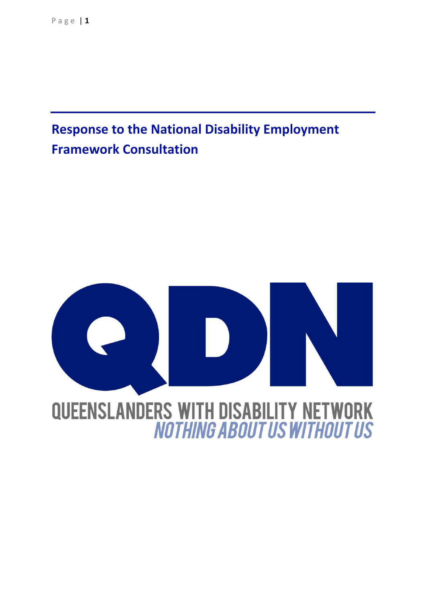# <span id="page-0-0"></span>**Response to the National Disability Employment Framework Consultation**

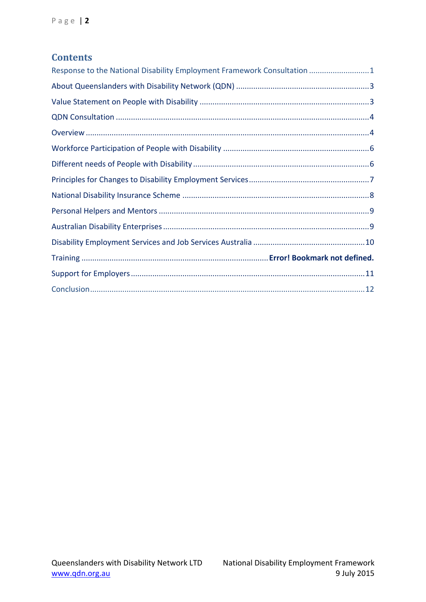#### **Contents**

| Response to the National Disability Employment Framework Consultation 1 |  |
|-------------------------------------------------------------------------|--|
|                                                                         |  |
|                                                                         |  |
|                                                                         |  |
|                                                                         |  |
|                                                                         |  |
|                                                                         |  |
|                                                                         |  |
|                                                                         |  |
|                                                                         |  |
|                                                                         |  |
|                                                                         |  |
|                                                                         |  |
|                                                                         |  |
|                                                                         |  |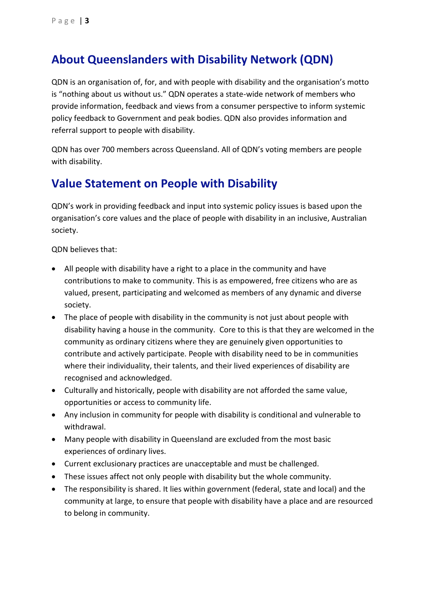#### <span id="page-2-0"></span>**About Queenslanders with Disability Network (QDN)**

QDN is an organisation of, for, and with people with disability and the organisation's motto is "nothing about us without us." QDN operates a state-wide network of members who provide information, feedback and views from a consumer perspective to inform systemic policy feedback to Government and peak bodies. QDN also provides information and referral support to people with disability.

QDN has over 700 members across Queensland. All of QDN's voting members are people with disability.

#### <span id="page-2-1"></span>**Value Statement on People with Disability**

QDN's work in providing feedback and input into systemic policy issues is based upon the organisation's core values and the place of people with disability in an inclusive, Australian society.

QDN believes that:

- All people with disability have a right to a place in the community and have contributions to make to community. This is as empowered, free citizens who are as valued, present, participating and welcomed as members of any dynamic and diverse society.
- The place of people with disability in the community is not just about people with disability having a house in the community. Core to this is that they are welcomed in the community as ordinary citizens where they are genuinely given opportunities to contribute and actively participate. People with disability need to be in communities where their individuality, their talents, and their lived experiences of disability are recognised and acknowledged.
- Culturally and historically, people with disability are not afforded the same value, opportunities or access to community life.
- Any inclusion in community for people with disability is conditional and vulnerable to withdrawal.
- Many people with disability in Queensland are excluded from the most basic experiences of ordinary lives.
- Current exclusionary practices are unacceptable and must be challenged.
- These issues affect not only people with disability but the whole community.
- The responsibility is shared. It lies within government (federal, state and local) and the community at large, to ensure that people with disability have a place and are resourced to belong in community.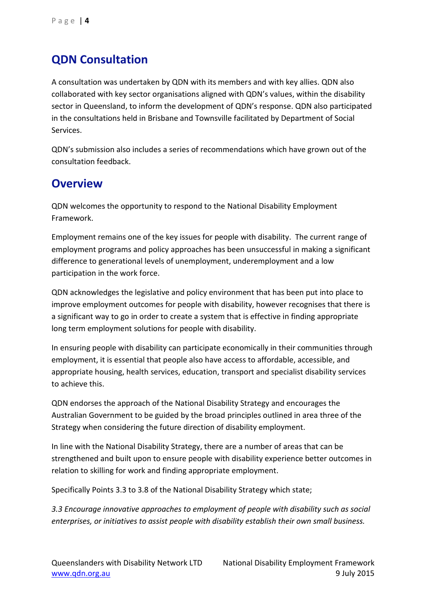### <span id="page-3-0"></span>**QDN Consultation**

A consultation was undertaken by QDN with its members and with key allies. QDN also collaborated with key sector organisations aligned with QDN's values, within the disability sector in Queensland, to inform the development of QDN's response. QDN also participated in the consultations held in Brisbane and Townsville facilitated by Department of Social Services.

QDN's submission also includes a series of recommendations which have grown out of the consultation feedback.

#### <span id="page-3-1"></span>**Overview**

QDN welcomes the opportunity to respond to the National Disability Employment Framework.

Employment remains one of the key issues for people with disability. The current range of employment programs and policy approaches has been unsuccessful in making a significant difference to generational levels of unemployment, underemployment and a low participation in the work force.

QDN acknowledges the legislative and policy environment that has been put into place to improve employment outcomes for people with disability, however recognises that there is a significant way to go in order to create a system that is effective in finding appropriate long term employment solutions for people with disability.

In ensuring people with disability can participate economically in their communities through employment, it is essential that people also have access to affordable, accessible, and appropriate housing, health services, education, transport and specialist disability services to achieve this.

QDN endorses the approach of the National Disability Strategy and encourages the Australian Government to be guided by the broad principles outlined in area three of the Strategy when considering the future direction of disability employment.

In line with the National Disability Strategy, there are a number of areas that can be strengthened and built upon to ensure people with disability experience better outcomes in relation to skilling for work and finding appropriate employment.

Specifically Points 3.3 to 3.8 of the National Disability Strategy which state;

*3.3 Encourage innovative approaches to employment of people with disability such as social enterprises, or initiatives to assist people with disability establish their own small business.*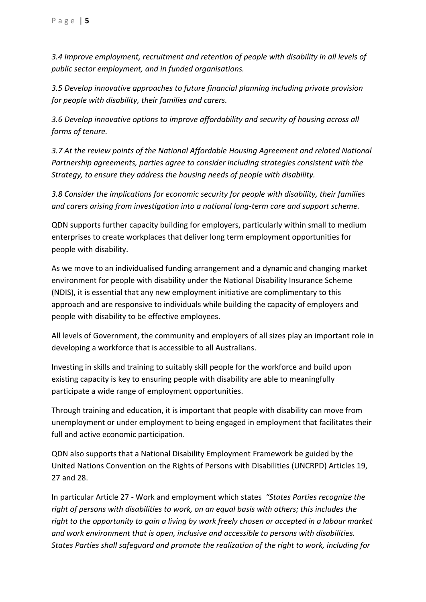*3.4 Improve employment, recruitment and retention of people with disability in all levels of public sector employment, and in funded organisations.* 

*3.5 Develop innovative approaches to future financial planning including private provision for people with disability, their families and carers.* 

*3.6 Develop innovative options to improve affordability and security of housing across all forms of tenure.* 

*3.7 At the review points of the National Affordable Housing Agreement and related National Partnership agreements, parties agree to consider including strategies consistent with the Strategy, to ensure they address the housing needs of people with disability.* 

*3.8 Consider the implications for economic security for people with disability, their families and carers arising from investigation into a national long-term care and support scheme.*

QDN supports further capacity building for employers, particularly within small to medium enterprises to create workplaces that deliver long term employment opportunities for people with disability.

As we move to an individualised funding arrangement and a dynamic and changing market environment for people with disability under the National Disability Insurance Scheme (NDIS), it is essential that any new employment initiative are complimentary to this approach and are responsive to individuals while building the capacity of employers and people with disability to be effective employees.

All levels of Government, the community and employers of all sizes play an important role in developing a workforce that is accessible to all Australians.

Investing in skills and training to suitably skill people for the workforce and build upon existing capacity is key to ensuring people with disability are able to meaningfully participate a wide range of employment opportunities.

Through training and education, it is important that people with disability can move from unemployment or under employment to being engaged in employment that facilitates their full and active economic participation.

QDN also supports that a National Disability Employment Framework be guided by the United Nations Convention on the Rights of Persons with Disabilities (UNCRPD) Articles 19, 27 and 28.

In particular Article 27 - Work and employment which states *"States Parties recognize the right of persons with disabilities to work, on an equal basis with others; this includes the right to the opportunity to gain a living by work freely chosen or accepted in a labour market and work environment that is open, inclusive and accessible to persons with disabilities. States Parties shall safeguard and promote the realization of the right to work, including for*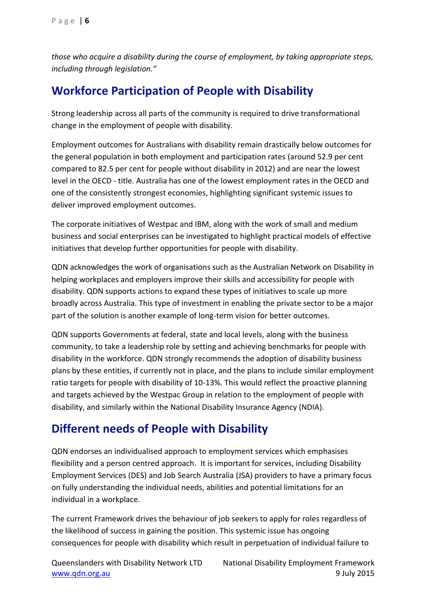*those who acquire a disability during the course of employment, by taking appropriate steps, including through legislation."*

#### <span id="page-5-0"></span>**Workforce Participation of People with Disability**

Strong leadership across all parts of the community is required to drive transformational change in the employment of people with disability.

Employment outcomes for Australians with disability remain drastically below outcomes for the general population in both employment and participation rates (around 52.9 per cent compared to 82.5 per cent for people without disability in 2012) and are near the lowest level in the OECD - title. Australia has one of the lowest employment rates in the OECD and one of the consistently strongest economies, highlighting significant systemic issues to deliver improved employment outcomes.

The corporate initiatives of Westpac and IBM, along with the work of small and medium business and social enterprises can be investigated to highlight practical models of effective initiatives that develop further opportunities for people with disability.

QDN acknowledges the work of organisations such as the Australian Network on Disability in helping workplaces and employers improve their skills and accessibility for people with disability. QDN supports actions to expand these types of initiatives to scale up more broadly across Australia. This type of investment in enabling the private sector to be a major part of the solution is another example of long-term vision for better outcomes.

QDN supports Governments at federal, state and local levels, along with the business community, to take a leadership role by setting and achieving benchmarks for people with disability in the workforce. QDN strongly recommends the adoption of disability business plans by these entities, if currently not in place, and the plans to include similar employment ratio targets for people with disability of 10-13%. This would reflect the proactive planning and targets achieved by the Westpac Group in relation to the employment of people with disability, and similarly within the National Disability Insurance Agency (NDIA).

#### <span id="page-5-1"></span>**Different needs of People with Disability**

QDN endorses an individualised approach to employment services which emphasises flexibility and a person centred approach. It is important for services, including Disability Employment Services (DES) and Job Search Australia (JSA) providers to have a primary focus on fully understanding the individual needs, abilities and potential limitations for an individual in a workplace.

The current Framework drives the behaviour of job seekers to apply for roles regardless of the likelihood of success in gaining the position. This systemic issue has ongoing consequences for people with disability which result in perpetuation of individual failure to

Queenslanders with Disability Network LTD National Disability Employment Framework [www.qdn.org.au](http://www.qdn.org.au/) 9 July 2015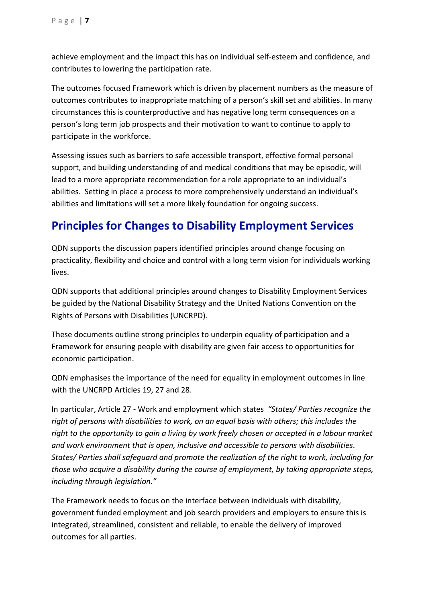achieve employment and the impact this has on individual self-esteem and confidence, and contributes to lowering the participation rate.

The outcomes focused Framework which is driven by placement numbers as the measure of outcomes contributes to inappropriate matching of a person's skill set and abilities. In many circumstances this is counterproductive and has negative long term consequences on a person's long term job prospects and their motivation to want to continue to apply to participate in the workforce.

Assessing issues such as barriers to safe accessible transport, effective formal personal support, and building understanding of and medical conditions that may be episodic, will lead to a more appropriate recommendation for a role appropriate to an individual's abilities. Setting in place a process to more comprehensively understand an individual's abilities and limitations will set a more likely foundation for ongoing success.

### <span id="page-6-0"></span>**Principles for Changes to Disability Employment Services**

QDN supports the discussion papers identified principles around change focusing on practicality, flexibility and choice and control with a long term vision for individuals working lives.

QDN supports that additional principles around changes to Disability Employment Services be guided by the National Disability Strategy and the United Nations Convention on the Rights of Persons with Disabilities (UNCRPD).

These documents outline strong principles to underpin equality of participation and a Framework for ensuring people with disability are given fair access to opportunities for economic participation.

QDN emphasises the importance of the need for equality in employment outcomes in line with the UNCRPD Articles 19, 27 and 28.

In particular, Article 27 - Work and employment which states *"States/ Parties recognize the right of persons with disabilities to work, on an equal basis with others; this includes the right to the opportunity to gain a living by work freely chosen or accepted in a labour market and work environment that is open, inclusive and accessible to persons with disabilities. States/ Parties shall safeguard and promote the realization of the right to work, including for those who acquire a disability during the course of employment, by taking appropriate steps, including through legislation."*

The Framework needs to focus on the interface between individuals with disability, government funded employment and job search providers and employers to ensure this is integrated, streamlined, consistent and reliable, to enable the delivery of improved outcomes for all parties.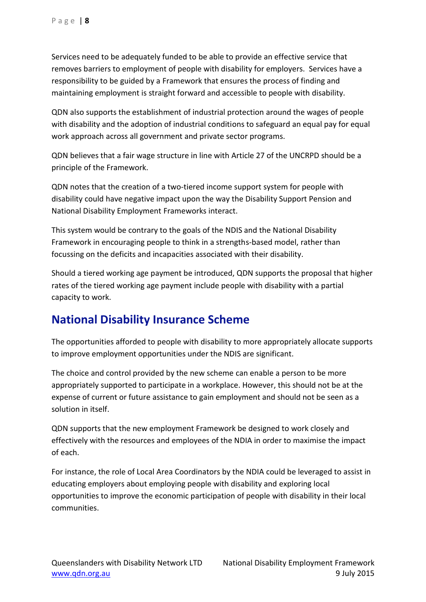Services need to be adequately funded to be able to provide an effective service that removes barriers to employment of people with disability for employers. Services have a responsibility to be guided by a Framework that ensures the process of finding and maintaining employment is straight forward and accessible to people with disability.

QDN also supports the establishment of industrial protection around the wages of people with disability and the adoption of industrial conditions to safeguard an equal pay for equal work approach across all government and private sector programs.

QDN believes that a fair wage structure in line with Article 27 of the UNCRPD should be a principle of the Framework.

QDN notes that the creation of a two-tiered income support system for people with disability could have negative impact upon the way the Disability Support Pension and National Disability Employment Frameworks interact.

This system would be contrary to the goals of the NDIS and the National Disability Framework in encouraging people to think in a strengths-based model, rather than focussing on the deficits and incapacities associated with their disability.

Should a tiered working age payment be introduced, QDN supports the proposal that higher rates of the tiered working age payment include people with disability with a partial capacity to work.

#### <span id="page-7-0"></span>**National Disability Insurance Scheme**

The opportunities afforded to people with disability to more appropriately allocate supports to improve employment opportunities under the NDIS are significant.

The choice and control provided by the new scheme can enable a person to be more appropriately supported to participate in a workplace. However, this should not be at the expense of current or future assistance to gain employment and should not be seen as a solution in itself.

QDN supports that the new employment Framework be designed to work closely and effectively with the resources and employees of the NDIA in order to maximise the impact of each.

For instance, the role of Local Area Coordinators by the NDIA could be leveraged to assist in educating employers about employing people with disability and exploring local opportunities to improve the economic participation of people with disability in their local communities.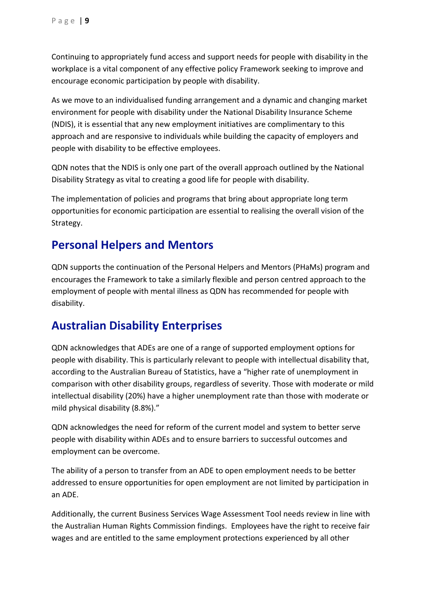Continuing to appropriately fund access and support needs for people with disability in the workplace is a vital component of any effective policy Framework seeking to improve and encourage economic participation by people with disability.

As we move to an individualised funding arrangement and a dynamic and changing market environment for people with disability under the National Disability Insurance Scheme (NDIS), it is essential that any new employment initiatives are complimentary to this approach and are responsive to individuals while building the capacity of employers and people with disability to be effective employees.

QDN notes that the NDIS is only one part of the overall approach outlined by the National Disability Strategy as vital to creating a good life for people with disability.

The implementation of policies and programs that bring about appropriate long term opportunities for economic participation are essential to realising the overall vision of the Strategy.

#### <span id="page-8-0"></span>**Personal Helpers and Mentors**

QDN supports the continuation of the Personal Helpers and Mentors (PHaMs) program and encourages the Framework to take a similarly flexible and person centred approach to the employment of people with mental illness as QDN has recommended for people with disability.

#### <span id="page-8-1"></span>**Australian Disability Enterprises**

QDN acknowledges that ADEs are one of a range of supported employment options for people with disability. This is particularly relevant to people with intellectual disability that, according to the Australian Bureau of Statistics, have a "higher rate of unemployment in comparison with other disability groups, regardless of severity. Those with moderate or mild intellectual disability (20%) have a higher unemployment rate than those with moderate or mild physical disability (8.8%)."

QDN acknowledges the need for reform of the current model and system to better serve people with disability within ADEs and to ensure barriers to successful outcomes and employment can be overcome.

The ability of a person to transfer from an ADE to open employment needs to be better addressed to ensure opportunities for open employment are not limited by participation in an ADE.

Additionally, the current Business Services Wage Assessment Tool needs review in line with the Australian Human Rights Commission findings. Employees have the right to receive fair wages and are entitled to the same employment protections experienced by all other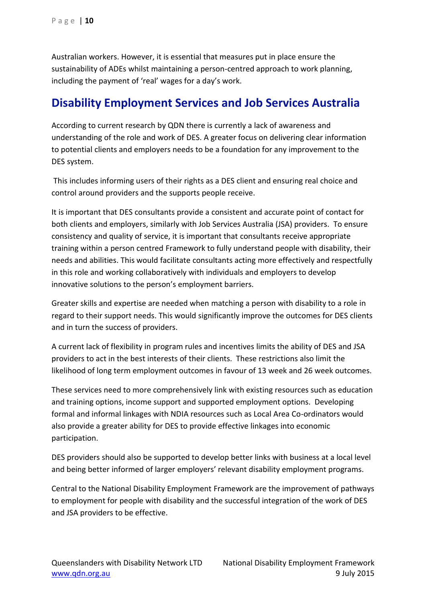Australian workers. However, it is essential that measures put in place ensure the sustainability of ADEs whilst maintaining a person-centred approach to work planning, including the payment of 'real' wages for a day's work.

#### <span id="page-9-0"></span>**Disability Employment Services and Job Services Australia**

According to current research by QDN there is currently a lack of awareness and understanding of the role and work of DES. A greater focus on delivering clear information to potential clients and employers needs to be a foundation for any improvement to the DES system.

This includes informing users of their rights as a DES client and ensuring real choice and control around providers and the supports people receive.

It is important that DES consultants provide a consistent and accurate point of contact for both clients and employers, similarly with Job Services Australia (JSA) providers. To ensure consistency and quality of service, it is important that consultants receive appropriate training within a person centred Framework to fully understand people with disability, their needs and abilities. This would facilitate consultants acting more effectively and respectfully in this role and working collaboratively with individuals and employers to develop innovative solutions to the person's employment barriers.

Greater skills and expertise are needed when matching a person with disability to a role in regard to their support needs. This would significantly improve the outcomes for DES clients and in turn the success of providers.

A current lack of flexibility in program rules and incentives limits the ability of DES and JSA providers to act in the best interests of their clients. These restrictions also limit the likelihood of long term employment outcomes in favour of 13 week and 26 week outcomes.

These services need to more comprehensively link with existing resources such as education and training options, income support and supported employment options. Developing formal and informal linkages with NDIA resources such as Local Area Co-ordinators would also provide a greater ability for DES to provide effective linkages into economic participation.

DES providers should also be supported to develop better links with business at a local level and being better informed of larger employers' relevant disability employment programs.

Central to the National Disability Employment Framework are the improvement of pathways to employment for people with disability and the successful integration of the work of DES and JSA providers to be effective.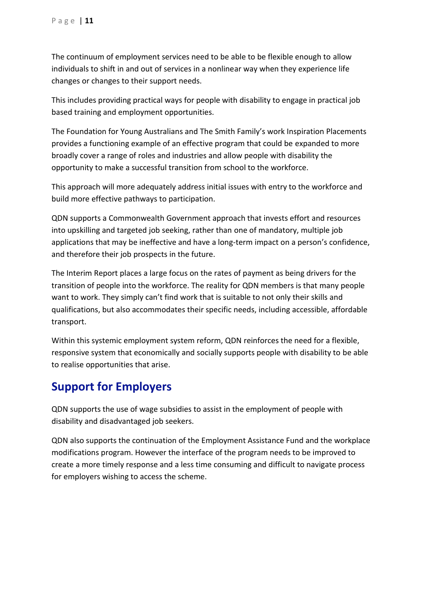The continuum of employment services need to be able to be flexible enough to allow individuals to shift in and out of services in a nonlinear way when they experience life changes or changes to their support needs.

This includes providing practical ways for people with disability to engage in practical job based training and employment opportunities.

The Foundation for Young Australians and The Smith Family's work Inspiration Placements provides a functioning example of an effective program that could be expanded to more broadly cover a range of roles and industries and allow people with disability the opportunity to make a successful transition from school to the workforce.

This approach will more adequately address initial issues with entry to the workforce and build more effective pathways to participation.

QDN supports a Commonwealth Government approach that invests effort and resources into upskilling and targeted job seeking, rather than one of mandatory, multiple job applications that may be ineffective and have a long-term impact on a person's confidence, and therefore their job prospects in the future.

The Interim Report places a large focus on the rates of payment as being drivers for the transition of people into the workforce. The reality for QDN members is that many people want to work. They simply can't find work that is suitable to not only their skills and qualifications, but also accommodates their specific needs, including accessible, affordable transport.

Within this systemic employment system reform, QDN reinforces the need for a flexible, responsive system that economically and socially supports people with disability to be able to realise opportunities that arise.

### <span id="page-10-0"></span>**Support for Employers**

QDN supports the use of wage subsidies to assist in the employment of people with disability and disadvantaged job seekers.

<span id="page-10-1"></span>QDN also supports the continuation of the Employment Assistance Fund and the workplace modifications program. However the interface of the program needs to be improved to create a more timely response and a less time consuming and difficult to navigate process for employers wishing to access the scheme.